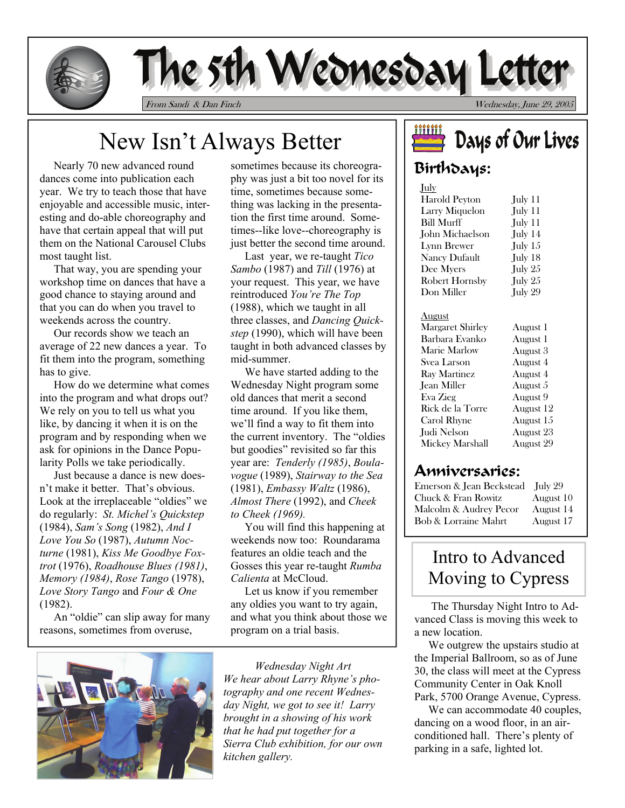

# The 5th Wednesday Letter

From Sandi & Dan Finch Wednesday, June 29, 2005

# New Isn't Always Better

 Nearly 70 new advanced round dances come into publication each year. We try to teach those that have enjoyable and accessible music, interesting and do-able choreography and have that certain appeal that will put them on the National Carousel Clubs most taught list.

 That way, you are spending your workshop time on dances that have a good chance to staying around and that you can do when you travel to weekends across the country.

 Our records show we teach an average of 22 new dances a year. To fit them into the program, something has to give.

 How do we determine what comes into the program and what drops out? We rely on you to tell us what you like, by dancing it when it is on the program and by responding when we ask for opinions in the Dance Popularity Polls we take periodically.

 Just because a dance is new doesn't make it better. That's obvious. Look at the irreplaceable "oldies" we do regularly: *St. Michel's Quickstep* (1984), *Sam's Song* (1982), *And I Love You So* (1987), *Autumn Nocturne* (1981), *Kiss Me Goodbye Foxtrot* (1976), *Roadhouse Blues (1981)*, *Memory (1984)*, *Rose Tango* (1978), *Love Story Tango* and *Four & One*  (1982).

 An "oldie" can slip away for many reasons, sometimes from overuse,



 Last year, we re-taught *Tico Sambo* (1987) and *Till* (1976) at your request. This year, we have reintroduced *You're The Top*  (1988), which we taught in all three classes, and *Dancing Quickstep* (1990), which will have been taught in both advanced classes by mid-summer.

 We have started adding to the Wednesday Night program some old dances that merit a second time around. If you like them, we'll find a way to fit them into the current inventory. The "oldies but goodies" revisited so far this year are: *Tenderly (1985)*, *Boulavogue* (1989), *Stairway to the Sea* (1981), *Embassy Waltz* (1986), *Almost There* (1992), and *Cheek to Cheek (1969).* 

You will find this happening at weekends now too: Roundarama features an oldie teach and the Gosses this year re-taught *Rumba Calienta* at McCloud.

 Let us know if you remember any oldies you want to try again, and what you think about those we program on a trial basis.



*Wednesday Night Art We hear about Larry Rhyne's photography and one recent Wednesday Night, we got to see it! Larry brought in a showing of his work that he had put together for a Sierra Club exhibition, for our own kitchen gallery.* 

### <u>iiiiiii</u> Days of Our Lives

## Birthdays:

| July                    |           |
|-------------------------|-----------|
| Harold Peyton           | July 11   |
| Larry Miquelon          | July 11   |
| Bill Murff              | July 11   |
| John Michaelson         | July 14   |
| Lynn Brewer             | July 15   |
| Nancy Dufault           | July 18   |
| Dee Myers               | July 25   |
| <b>Robert Hornsby</b>   | July 25   |
| Don Miller              | July 29   |
|                         |           |
| <u>August</u>           |           |
| <b>Margaret Shirley</b> | August 1  |
| Barbara Evanko          | August 1  |
| Marie Marlow            | August 3  |
| Svea Larson             | August 4  |
| Ray Martinez            | August 4  |
| Jean Miller             | August 5  |
| Eva Zieg                | August 9  |
| Rick de la Torre        | August 12 |
| Carol Rhyne             | August 15 |
| Judi Nelson             | August 23 |
| Mickey Marshall         | August 29 |
|                         |           |

#### Anniversaries:

Emerson & Jean Beckstead July 29 Chuck & Fran Rowitz August 10 Malcolm & Audrey Pecor August 14 Bob & Lorraine Mahrt August 17

# Intro to Advanced Moving to Cypress

The Thursday Night Intro to Advanced Class is moving this week to a new location.

 We outgrew the upstairs studio at the Imperial Ballroom, so as of June 30, the class will meet at the Cypress Community Center in Oak Knoll Park, 5700 Orange Avenue, Cypress.

We can accommodate 40 couples, dancing on a wood floor, in an airconditioned hall. There's plenty of parking in a safe, lighted lot.